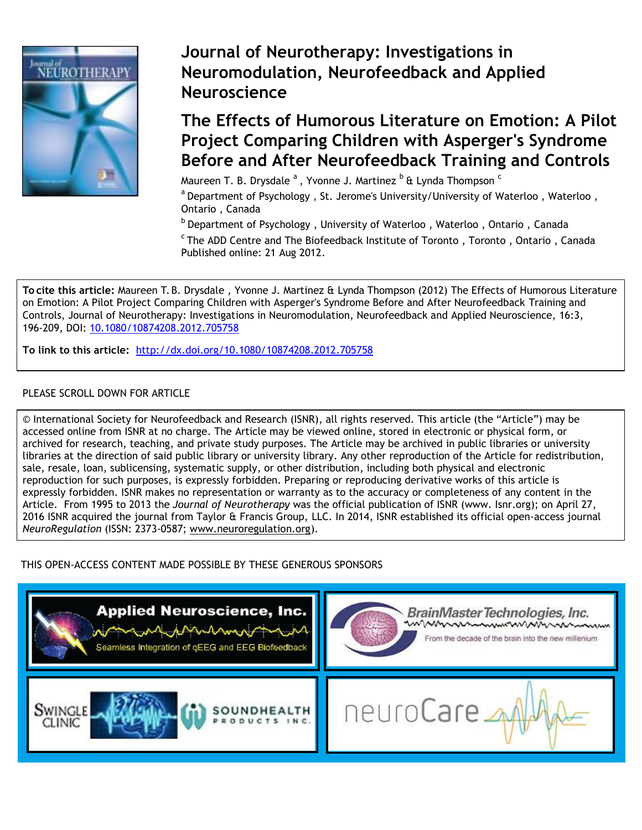

# **Journal of Neurotherapy: Investigations in Neuromodulation, Neurofeedback and Applied Neuroscience**

# **The Effects of Humorous Literature on Emotion: A Pilot Project Comparing Children with Asperger's Syndrome Before and After Neurofeedback Training and Controls**

Maureen T. B. Drysdale  $a$ , Yvonne J. Martinez  $b$  & Lynda Thompson  $c$ a Department of Psychology, St. Jerome's University/University of Waterloo, Waterloo, Ontario , Canada

 $b$  Department of Psychology, University of Waterloo, Waterloo, Ontario, Canada

 $c^{\text{c}}$ The ADD Centre and The Biofeedback Institute of Toronto, Toronto, Ontario, Canada Published online: 21 Aug 2012.

**To cite this article:** Maureen T. B. Drysdale , Yvonne J. Martinez & Lynda Thompson (2012) The Effects of Humorous Literature on Emotion: A Pilot Project Comparing Children with Asperger's Syndrome Before and After Neurofeedback Training and Controls, Journal of Neurotherapy: Investigations in Neuromodulation, Neurofeedback and Applied Neuroscience, 16:3, 196-209, DOI: 10.1080/10874208.2012.705758

**To link to this article:** <http://dx.doi.org/10.1080/10874208.2012.705758>

# PLEASE SCROLL DOWN FOR ARTICLE

© International Society for Neurofeedback and Research (ISNR), all rights reserved. This article (the "Article") may be accessed online from ISNR at no charge. The Article may be viewed online, stored in electronic or physical form, or archived for research, teaching, and private study purposes. The Article may be archived in public libraries or university libraries at the direction of said public library or university library. Any other reproduction of the Article for redistribution, sale, resale, loan, sublicensing, systematic supply, or other distribution, including both physical and electronic reproduction for such purposes, is expressly forbidden. Preparing or reproducing derivative works of this article is expressly forbidden. ISNR makes no representation or warranty as to the accuracy or completeness of any content in the Article. From 1995 to 2013 the *Journal of Neurotherapy* was the official publication of ISNR (www. Isnr.org); on April 27, 2016 ISNR acquired the journal from Taylor & Francis Group, LLC. In 2014, ISNR established its official open-access journal *NeuroRegulation* (ISSN: 2373-0587; [www.neuroregulation.org\)](http://www.neuroregulation.org/).

THIS OPEN-ACCESS CONTENT MADE POSSIBLE BY THESE GENEROUS SPONSORS

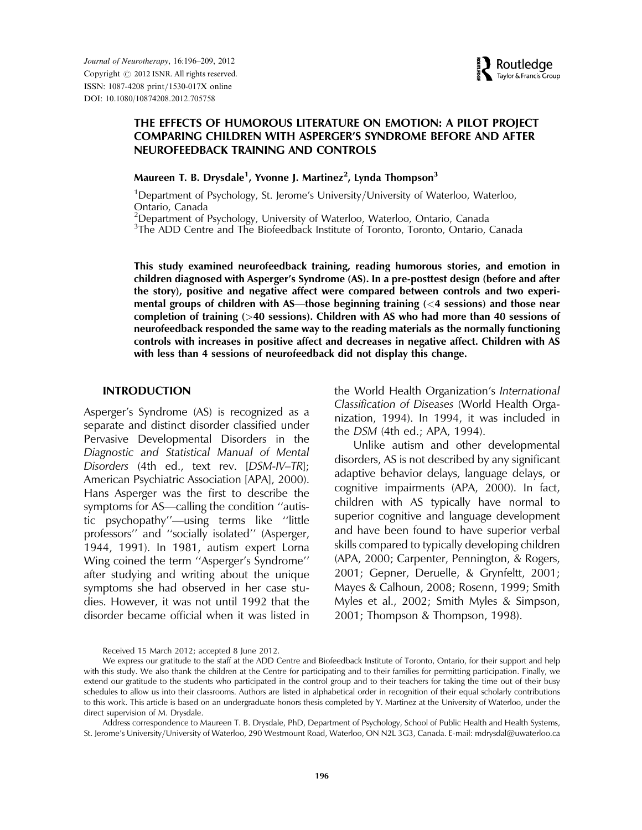

# THE EFFECTS OF HUMOROUS LITERATURE ON EMOTION: A PILOT PROJECT COMPARING CHILDREN WITH ASPERGER'S SYNDROME BEFORE AND AFTER NEUROFEEDBACK TRAINING AND CONTROLS

# Maureen T. B. Drysdale $^1$ , Yvonne J. Martinez $^2$ , Lynda Thompson $^3$

<sup>1</sup>Department of Psychology, St. Jerome's University/University of Waterloo, Waterloo, Ontario, Canada

<sup>2</sup>Department of Psychology, University of Waterloo, Waterloo, Ontario, Canada <sup>3</sup>The ADD Centre and The Biofeedback Institute of Toronto, Toronto, Ontario, Canada

This study examined neurofeedback training, reading humorous stories, and emotion in children diagnosed with Asperger's Syndrome (AS). In a pre-posttest design (before and after the story), positive and negative affect were compared between controls and two experimental groups of children with AS—those beginning training (<4 sessions) and those near completion of training (>40 sessions). Children with AS who had more than 40 sessions of neurofeedback responded the same way to the reading materials as the normally functioning controls with increases in positive affect and decreases in negative affect. Children with AS with less than 4 sessions of neurofeedback did not display this change.

#### INTRODUCTION

Asperger's Syndrome (AS) is recognized as a separate and distinct disorder classified under Pervasive Developmental Disorders in the Diagnostic and Statistical Manual of Mental Disorders (4th ed., text rev. [DSM-IV–TR]; American Psychiatric Association [APA], 2000). Hans Asperger was the first to describe the symptoms for AS—calling the condition ''autistic psychopathy''—using terms like ''little professors'' and ''socially isolated'' (Asperger, 1944, 1991). In 1981, autism expert Lorna Wing coined the term ''Asperger's Syndrome'' after studying and writing about the unique symptoms she had observed in her case studies. However, it was not until 1992 that the disorder became official when it was listed in

the World Health Organization's International Classification of Diseases (World Health Organization, 1994). In 1994, it was included in the DSM (4th ed.; APA, 1994).

Unlike autism and other developmental disorders, AS is not described by any significant adaptive behavior delays, language delays, or cognitive impairments (APA, 2000). In fact, children with AS typically have normal to superior cognitive and language development and have been found to have superior verbal skills compared to typically developing children (APA, 2000; Carpenter, Pennington, & Rogers, 2001; Gepner, Deruelle, & Grynfeltt, 2001; Mayes & Calhoun, 2008; Rosenn, 1999; Smith Myles et al., 2002; Smith Myles & Simpson, 2001; Thompson & Thompson, 1998).

Received 15 March 2012; accepted 8 June 2012.

Address correspondence to Maureen T. B. Drysdale, PhD, Department of Psychology, School of Public Health and Health Systems, St. Jerome's University/University of Waterloo, 290 Westmount Road, Waterloo, ON N2L 3G3, Canada. E-mail: mdrysdal@uwaterloo.ca

We express our gratitude to the staff at the ADD Centre and Biofeedback Institute of Toronto, Ontario, for their support and help with this study. We also thank the children at the Centre for participating and to their families for permitting participation. Finally, we extend our gratitude to the students who participated in the control group and to their teachers for taking the time out of their busy schedules to allow us into their classrooms. Authors are listed in alphabetical order in recognition of their equal scholarly contributions to this work. This article is based on an undergraduate honors thesis completed by Y. Martinez at the University of Waterloo, under the direct supervision of M. Drysdale.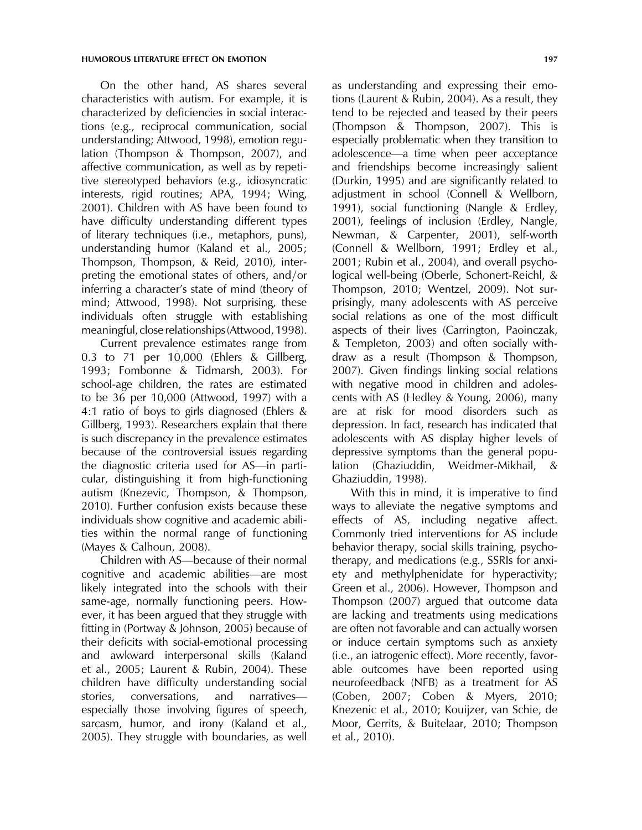On the other hand, AS shares several characteristics with autism. For example, it is characterized by deficiencies in social interactions (e.g., reciprocal communication, social understanding; Attwood, 1998), emotion regulation (Thompson & Thompson, 2007), and affective communication, as well as by repetitive stereotyped behaviors (e.g., idiosyncratic interests, rigid routines; APA, 1994; Wing, 2001). Children with AS have been found to have difficulty understanding different types of literary techniques (i.e., metaphors, puns), understanding humor (Kaland et al., 2005; Thompson, Thompson, & Reid, 2010), interpreting the emotional states of others, and/or inferring a character's state of mind (theory of mind; Attwood, 1998). Not surprising, these individuals often struggle with establishing meaningful, close relationships (Attwood, 1998).

Current prevalence estimates range from 0.3 to 71 per 10,000 (Ehlers & Gillberg, 1993; Fombonne & Tidmarsh, 2003). For school-age children, the rates are estimated to be 36 per 10,000 (Attwood, 1997) with a 4:1 ratio of boys to girls diagnosed (Ehlers & Gillberg, 1993). Researchers explain that there is such discrepancy in the prevalence estimates because of the controversial issues regarding the diagnostic criteria used for AS—in particular, distinguishing it from high-functioning autism (Knezevic, Thompson, & Thompson, 2010). Further confusion exists because these individuals show cognitive and academic abilities within the normal range of functioning (Mayes & Calhoun, 2008).

Children with AS—because of their normal cognitive and academic abilities—are most likely integrated into the schools with their same-age, normally functioning peers. However, it has been argued that they struggle with fitting in (Portway & Johnson, 2005) because of their deficits with social-emotional processing and awkward interpersonal skills (Kaland et al., 2005; Laurent & Rubin, 2004). These children have difficulty understanding social stories, conversations, and narratives especially those involving figures of speech, sarcasm, humor, and irony (Kaland et al., 2005). They struggle with boundaries, as well

as understanding and expressing their emotions (Laurent & Rubin, 2004). As a result, they tend to be rejected and teased by their peers (Thompson & Thompson, 2007). This is especially problematic when they transition to adolescence—a time when peer acceptance and friendships become increasingly salient (Durkin, 1995) and are significantly related to adjustment in school (Connell & Wellborn, 1991), social functioning (Nangle & Erdley, 2001), feelings of inclusion (Erdley, Nangle, Newman, & Carpenter, 2001), self-worth (Connell & Wellborn, 1991; Erdley et al., 2001; Rubin et al., 2004), and overall psychological well-being (Oberle, Schonert-Reichl, & Thompson, 2010; Wentzel, 2009). Not surprisingly, many adolescents with AS perceive social relations as one of the most difficult aspects of their lives (Carrington, Paoinczak, & Templeton, 2003) and often socially withdraw as a result (Thompson & Thompson, 2007). Given findings linking social relations with negative mood in children and adolescents with AS (Hedley & Young, 2006), many are at risk for mood disorders such as depression. In fact, research has indicated that adolescents with AS display higher levels of depressive symptoms than the general population (Ghaziuddin, Weidmer-Mikhail, & Ghaziuddin, 1998).

With this in mind, it is imperative to find ways to alleviate the negative symptoms and effects of AS, including negative affect. Commonly tried interventions for AS include behavior therapy, social skills training, psychotherapy, and medications (e.g., SSRIs for anxiety and methylphenidate for hyperactivity; Green et al., 2006). However, Thompson and Thompson (2007) argued that outcome data are lacking and treatments using medications are often not favorable and can actually worsen or induce certain symptoms such as anxiety (i.e., an iatrogenic effect). More recently, favorable outcomes have been reported using neurofeedback (NFB) as a treatment for AS (Coben, 2007; Coben & Myers, 2010; Knezenic et al., 2010; Kouijzer, van Schie, de Moor, Gerrits, & Buitelaar, 2010; Thompson et al., 2010).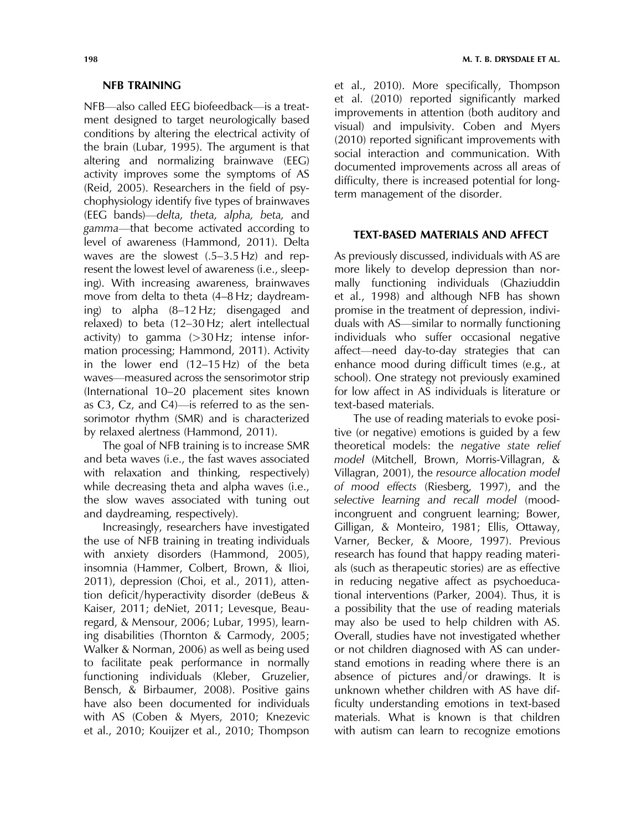## NFB TRAINING

NFB—also called EEG biofeedback—is a treatment designed to target neurologically based conditions by altering the electrical activity of the brain (Lubar, 1995). The argument is that altering and normalizing brainwave (EEG) activity improves some the symptoms of AS (Reid, 2005). Researchers in the field of psychophysiology identify five types of brainwaves (EEG bands)—delta, theta, alpha, beta, and gamma—that become activated according to level of awareness (Hammond, 2011). Delta waves are the slowest (.5–3.5 Hz) and represent the lowest level of awareness (i.e., sleeping). With increasing awareness, brainwaves move from delta to theta (4–8 Hz; daydreaming) to alpha (8–12 Hz; disengaged and relaxed) to beta (12–30 Hz; alert intellectual activity) to gamma  $(>30 Hz$ ; intense information processing; Hammond, 2011). Activity in the lower end (12–15 Hz) of the beta waves—measured across the sensorimotor strip (International 10–20 placement sites known as C3, Cz, and C4)—is referred to as the sensorimotor rhythm (SMR) and is characterized by relaxed alertness (Hammond, 2011).

The goal of NFB training is to increase SMR and beta waves (i.e., the fast waves associated with relaxation and thinking, respectively) while decreasing theta and alpha waves (i.e., the slow waves associated with tuning out and daydreaming, respectively).

Increasingly, researchers have investigated the use of NFB training in treating individuals with anxiety disorders (Hammond, 2005), insomnia (Hammer, Colbert, Brown, & Ilioi, 2011), depression (Choi, et al., 2011), attention deficit/hyperactivity disorder (deBeus  $&$ Kaiser, 2011; deNiet, 2011; Levesque, Beauregard, & Mensour, 2006; Lubar, 1995), learning disabilities (Thornton & Carmody, 2005; Walker & Norman, 2006) as well as being used to facilitate peak performance in normally functioning individuals (Kleber, Gruzelier, Bensch, & Birbaumer, 2008). Positive gains have also been documented for individuals with AS (Coben & Myers, 2010; Knezevic et al., 2010; Kouijzer et al., 2010; Thompson

et al., 2010). More specifically, Thompson et al. (2010) reported significantly marked improvements in attention (both auditory and visual) and impulsivity. Coben and Myers (2010) reported significant improvements with social interaction and communication. With documented improvements across all areas of difficulty, there is increased potential for longterm management of the disorder.

#### TEXT-BASED MATERIALS AND AFFECT

As previously discussed, individuals with AS are more likely to develop depression than normally functioning individuals (Ghaziuddin et al., 1998) and although NFB has shown promise in the treatment of depression, individuals with AS—similar to normally functioning individuals who suffer occasional negative affect—need day-to-day strategies that can enhance mood during difficult times (e.g., at school). One strategy not previously examined for low affect in AS individuals is literature or text-based materials.

The use of reading materials to evoke positive (or negative) emotions is guided by a few theoretical models: the negative state relief model (Mitchell, Brown, Morris-Villagran, & Villagran, 2001), the resource allocation model of mood effects (Riesberg, 1997), and the selective learning and recall model (moodincongruent and congruent learning; Bower, Gilligan, & Monteiro, 1981; Ellis, Ottaway, Varner, Becker, & Moore, 1997). Previous research has found that happy reading materials (such as therapeutic stories) are as effective in reducing negative affect as psychoeducational interventions (Parker, 2004). Thus, it is a possibility that the use of reading materials may also be used to help children with AS. Overall, studies have not investigated whether or not children diagnosed with AS can understand emotions in reading where there is an absence of pictures and/or drawings. It is unknown whether children with AS have difficulty understanding emotions in text-based materials. What is known is that children with autism can learn to recognize emotions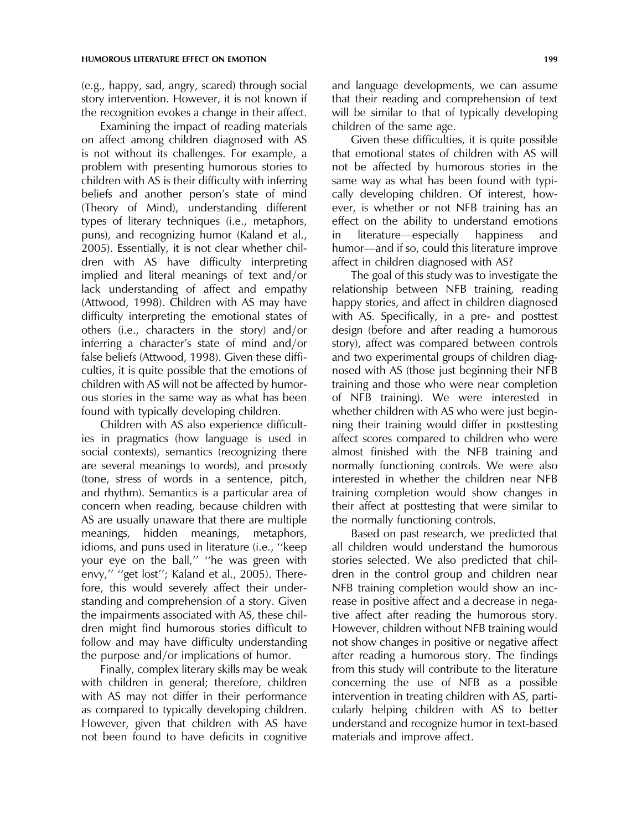(e.g., happy, sad, angry, scared) through social story intervention. However, it is not known if the recognition evokes a change in their affect.

Examining the impact of reading materials on affect among children diagnosed with AS is not without its challenges. For example, a problem with presenting humorous stories to children with AS is their difficulty with inferring beliefs and another person's state of mind (Theory of Mind), understanding different types of literary techniques (i.e., metaphors, puns), and recognizing humor (Kaland et al., 2005). Essentially, it is not clear whether children with AS have difficulty interpreting implied and literal meanings of text and/or lack understanding of affect and empathy (Attwood, 1998). Children with AS may have difficulty interpreting the emotional states of others (i.e., characters in the story) and/or inferring a character's state of mind and/or false beliefs (Attwood, 1998). Given these difficulties, it is quite possible that the emotions of children with AS will not be affected by humorous stories in the same way as what has been found with typically developing children.

Children with AS also experience difficulties in pragmatics (how language is used in social contexts), semantics (recognizing there are several meanings to words), and prosody (tone, stress of words in a sentence, pitch, and rhythm). Semantics is a particular area of concern when reading, because children with AS are usually unaware that there are multiple meanings, hidden meanings, metaphors, idioms, and puns used in literature (i.e., ''keep your eye on the ball,'' ''he was green with envy,'' ''get lost''; Kaland et al., 2005). Therefore, this would severely affect their understanding and comprehension of a story. Given the impairments associated with AS, these children might find humorous stories difficult to follow and may have difficulty understanding the purpose and/or implications of humor.

Finally, complex literary skills may be weak with children in general; therefore, children with AS may not differ in their performance as compared to typically developing children. However, given that children with AS have not been found to have deficits in cognitive children of the same age. Given these difficulties, it is quite possible that emotional states of children with AS will not be affected by humorous stories in the same way as what has been found with typically developing children. Of interest, however, is whether or not NFB training has an effect on the ability to understand emotions in literature—especially happiness and humor—and if so, could this literature improve affect in children diagnosed with AS?

The goal of this study was to investigate the relationship between NFB training, reading happy stories, and affect in children diagnosed with AS. Specifically, in a pre- and posttest design (before and after reading a humorous story), affect was compared between controls and two experimental groups of children diagnosed with AS (those just beginning their NFB training and those who were near completion of NFB training). We were interested in whether children with AS who were just beginning their training would differ in posttesting affect scores compared to children who were almost finished with the NFB training and normally functioning controls. We were also interested in whether the children near NFB training completion would show changes in their affect at posttesting that were similar to the normally functioning controls.

Based on past research, we predicted that all children would understand the humorous stories selected. We also predicted that children in the control group and children near NFB training completion would show an increase in positive affect and a decrease in negative affect after reading the humorous story. However, children without NFB training would not show changes in positive or negative affect after reading a humorous story. The findings from this study will contribute to the literature concerning the use of NFB as a possible intervention in treating children with AS, particularly helping children with AS to better understand and recognize humor in text-based materials and improve affect.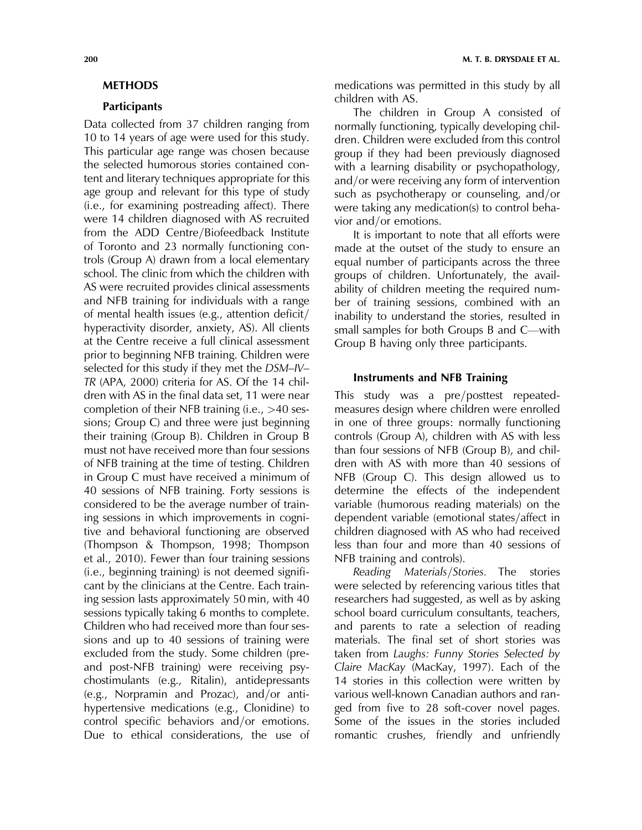## METHODS

### **Participants**

Data collected from 37 children ranging from 10 to 14 years of age were used for this study. This particular age range was chosen because the selected humorous stories contained content and literary techniques appropriate for this age group and relevant for this type of study (i.e., for examining postreading affect). There were 14 children diagnosed with AS recruited from the ADD Centre/Biofeedback Institute of Toronto and 23 normally functioning controls (Group A) drawn from a local elementary school. The clinic from which the children with AS were recruited provides clinical assessments and NFB training for individuals with a range of mental health issues (e.g., attention deficit/ hyperactivity disorder, anxiety, AS). All clients at the Centre receive a full clinical assessment prior to beginning NFB training. Children were selected for this study if they met the DSM–IV– TR (APA, 2000) criteria for AS. Of the 14 children with AS in the final data set, 11 were near completion of their NFB training (i.e., >40 sessions; Group C) and three were just beginning their training (Group B). Children in Group B must not have received more than four sessions of NFB training at the time of testing. Children in Group C must have received a minimum of 40 sessions of NFB training. Forty sessions is considered to be the average number of training sessions in which improvements in cognitive and behavioral functioning are observed (Thompson & Thompson, 1998; Thompson et al., 2010). Fewer than four training sessions (i.e., beginning training) is not deemed significant by the clinicians at the Centre. Each training session lasts approximately 50 min, with 40 sessions typically taking 6 months to complete. Children who had received more than four sessions and up to 40 sessions of training were excluded from the study. Some children (preand post-NFB training) were receiving psychostimulants (e.g., Ritalin), antidepressants (e.g., Norpramin and Prozac), and/or antihypertensive medications (e.g., Clonidine) to control specific behaviors and/or emotions. Due to ethical considerations, the use of

medications was permitted in this study by all children with AS.

The children in Group A consisted of normally functioning, typically developing children. Children were excluded from this control group if they had been previously diagnosed with a learning disability or psychopathology, and/or were receiving any form of intervention such as psychotherapy or counseling, and/or were taking any medication(s) to control behavior and/or emotions.

It is important to note that all efforts were made at the outset of the study to ensure an equal number of participants across the three groups of children. Unfortunately, the availability of children meeting the required number of training sessions, combined with an inability to understand the stories, resulted in small samples for both Groups B and C—with Group B having only three participants.

### Instruments and NFB Training

This study was a pre/posttest repeatedmeasures design where children were enrolled in one of three groups: normally functioning controls (Group A), children with AS with less than four sessions of NFB (Group B), and children with AS with more than 40 sessions of NFB (Group C). This design allowed us to determine the effects of the independent variable (humorous reading materials) on the dependent variable (emotional states/affect in children diagnosed with AS who had received less than four and more than 40 sessions of NFB training and controls).

Reading Materials/Stories. The stories were selected by referencing various titles that researchers had suggested, as well as by asking school board curriculum consultants, teachers, and parents to rate a selection of reading materials. The final set of short stories was taken from Laughs: Funny Stories Selected by Claire MacKay (MacKay, 1997). Each of the 14 stories in this collection were written by various well-known Canadian authors and ranged from five to 28 soft-cover novel pages. Some of the issues in the stories included romantic crushes, friendly and unfriendly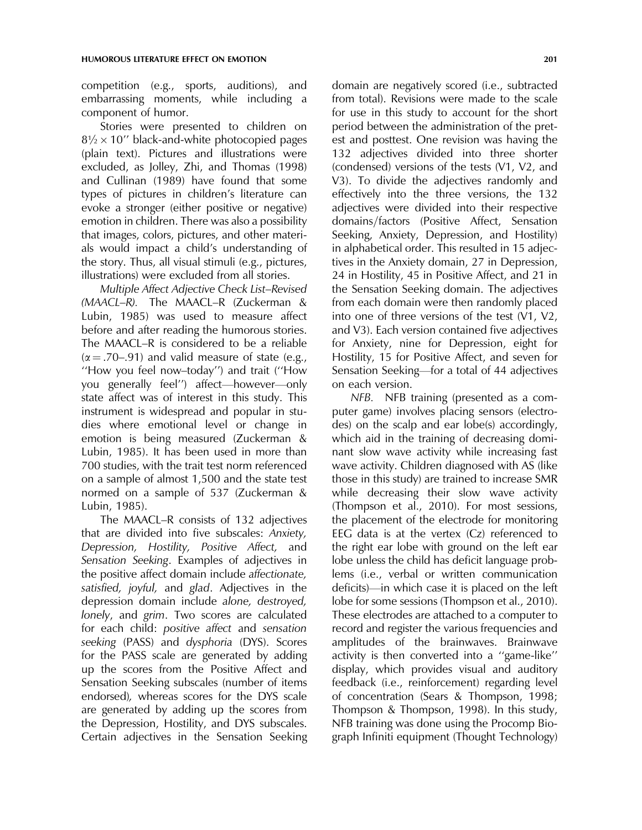competition (e.g., sports, auditions), and embarrassing moments, while including a component of humor.

Stories were presented to children on  $8\frac{1}{2} \times 10$ " black-and-white photocopied pages (plain text). Pictures and illustrations were excluded, as Jolley, Zhi, and Thomas (1998) and Cullinan (1989) have found that some types of pictures in children's literature can evoke a stronger (either positive or negative) emotion in children. There was also a possibility that images, colors, pictures, and other materials would impact a child's understanding of the story. Thus, all visual stimuli (e.g., pictures, illustrations) were excluded from all stories.

Multiple Affect Adjective Check List–Revised (MAACL–R). The MAACL–R (Zuckerman & Lubin, 1985) was used to measure affect before and after reading the humorous stories. The MAACL–R is considered to be a reliable  $(\alpha = .70-.91)$  and valid measure of state (e.g., ''How you feel now–today'') and trait (''How you generally feel'') affect—however—only state affect was of interest in this study. This instrument is widespread and popular in studies where emotional level or change in emotion is being measured (Zuckerman & Lubin, 1985). It has been used in more than 700 studies, with the trait test norm referenced on a sample of almost 1,500 and the state test normed on a sample of 537 (Zuckerman & Lubin, 1985).

The MAACL–R consists of 132 adjectives that are divided into five subscales: Anxiety, Depression, Hostility, Positive Affect, and Sensation Seeking. Examples of adjectives in the positive affect domain include affectionate, satisfied, joyful, and glad. Adjectives in the depression domain include alone, destroyed, lonely, and grim. Two scores are calculated for each child: positive affect and sensation seeking (PASS) and dysphoria (DYS). Scores for the PASS scale are generated by adding up the scores from the Positive Affect and Sensation Seeking subscales (number of items endorsed), whereas scores for the DYS scale are generated by adding up the scores from the Depression, Hostility, and DYS subscales. Certain adjectives in the Sensation Seeking domain are negatively scored (i.e., subtracted from total). Revisions were made to the scale for use in this study to account for the short period between the administration of the pretest and posttest. One revision was having the 132 adjectives divided into three shorter (condensed) versions of the tests (V1, V2, and V3). To divide the adjectives randomly and effectively into the three versions, the 132 adjectives were divided into their respective domains/factors (Positive Affect, Sensation Seeking, Anxiety, Depression, and Hostility) in alphabetical order. This resulted in 15 adjectives in the Anxiety domain, 27 in Depression, 24 in Hostility, 45 in Positive Affect, and 21 in the Sensation Seeking domain. The adjectives from each domain were then randomly placed into one of three versions of the test (V1, V2, and V3). Each version contained five adjectives for Anxiety, nine for Depression, eight for Hostility, 15 for Positive Affect, and seven for Sensation Seeking—for a total of 44 adjectives on each version.

NFB. NFB training (presented as a computer game) involves placing sensors (electrodes) on the scalp and ear lobe(s) accordingly, which aid in the training of decreasing dominant slow wave activity while increasing fast wave activity. Children diagnosed with AS (like those in this study) are trained to increase SMR while decreasing their slow wave activity (Thompson et al., 2010). For most sessions, the placement of the electrode for monitoring EEG data is at the vertex (Cz) referenced to the right ear lobe with ground on the left ear lobe unless the child has deficit language problems (i.e., verbal or written communication deficits)—in which case it is placed on the left lobe for some sessions (Thompson et al., 2010). These electrodes are attached to a computer to record and register the various frequencies and amplitudes of the brainwaves. Brainwave activity is then converted into a ''game-like'' display, which provides visual and auditory feedback (i.e., reinforcement) regarding level of concentration (Sears & Thompson, 1998; Thompson & Thompson, 1998). In this study, NFB training was done using the Procomp Biograph Infiniti equipment (Thought Technology)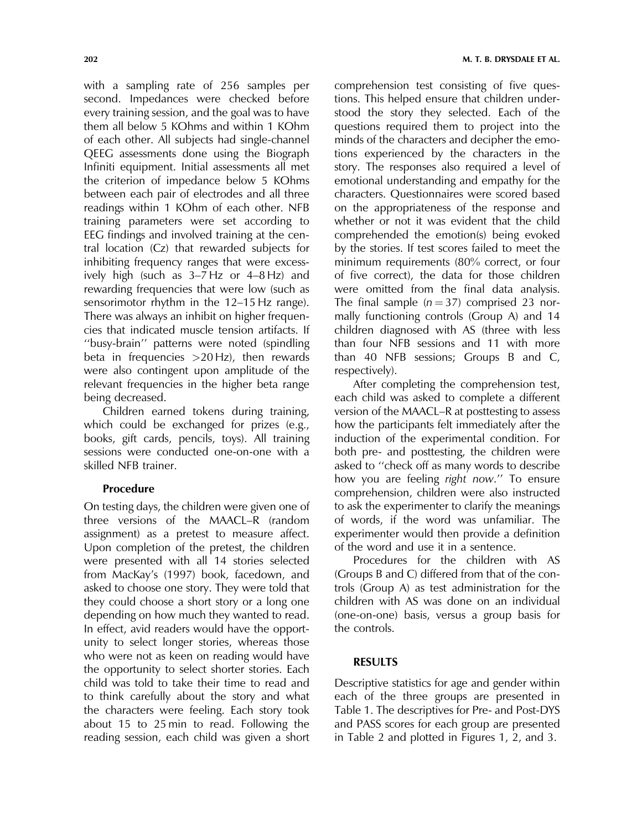with a sampling rate of 256 samples per second. Impedances were checked before every training session, and the goal was to have them all below 5 KOhms and within 1 KOhm of each other. All subjects had single-channel QEEG assessments done using the Biograph Infiniti equipment. Initial assessments all met the criterion of impedance below 5 KOhms between each pair of electrodes and all three readings within 1 KOhm of each other. NFB training parameters were set according to EEG findings and involved training at the central location (Cz) that rewarded subjects for inhibiting frequency ranges that were excessively high (such as 3–7 Hz or 4–8 Hz) and rewarding frequencies that were low (such as sensorimotor rhythm in the 12–15 Hz range). There was always an inhibit on higher frequencies that indicated muscle tension artifacts. If ''busy-brain'' patterns were noted (spindling beta in frequencies >20 Hz), then rewards were also contingent upon amplitude of the relevant frequencies in the higher beta range being decreased.

Children earned tokens during training, which could be exchanged for prizes (e.g., books, gift cards, pencils, toys). All training sessions were conducted one-on-one with a skilled NFB trainer.

## Procedure

On testing days, the children were given one of three versions of the MAACL–R (random assignment) as a pretest to measure affect. Upon completion of the pretest, the children were presented with all 14 stories selected from MacKay's (1997) book, facedown, and asked to choose one story. They were told that they could choose a short story or a long one depending on how much they wanted to read. In effect, avid readers would have the opportunity to select longer stories, whereas those who were not as keen on reading would have the opportunity to select shorter stories. Each child was told to take their time to read and to think carefully about the story and what the characters were feeling. Each story took about 15 to 25 min to read. Following the reading session, each child was given a short comprehension test consisting of five questions. This helped ensure that children understood the story they selected. Each of the questions required them to project into the minds of the characters and decipher the emotions experienced by the characters in the story. The responses also required a level of emotional understanding and empathy for the characters. Questionnaires were scored based on the appropriateness of the response and whether or not it was evident that the child comprehended the emotion(s) being evoked by the stories. If test scores failed to meet the minimum requirements (80% correct, or four of five correct), the data for those children were omitted from the final data analysis. The final sample  $(n = 37)$  comprised 23 normally functioning controls (Group A) and 14 children diagnosed with AS (three with less than four NFB sessions and 11 with more than 40 NFB sessions; Groups B and C, respectively).

After completing the comprehension test, each child was asked to complete a different version of the MAACL–R at posttesting to assess how the participants felt immediately after the induction of the experimental condition. For both pre- and posttesting, the children were asked to ''check off as many words to describe how you are feeling right now.'' To ensure comprehension, children were also instructed to ask the experimenter to clarify the meanings of words, if the word was unfamiliar. The experimenter would then provide a definition of the word and use it in a sentence.

Procedures for the children with AS (Groups B and C) differed from that of the controls (Group A) as test administration for the children with AS was done on an individual (one-on-one) basis, versus a group basis for the controls.

## RESULTS

Descriptive statistics for age and gender within each of the three groups are presented in Table 1. The descriptives for Pre- and Post-DYS and PASS scores for each group are presented in Table 2 and plotted in Figures 1, 2, and 3.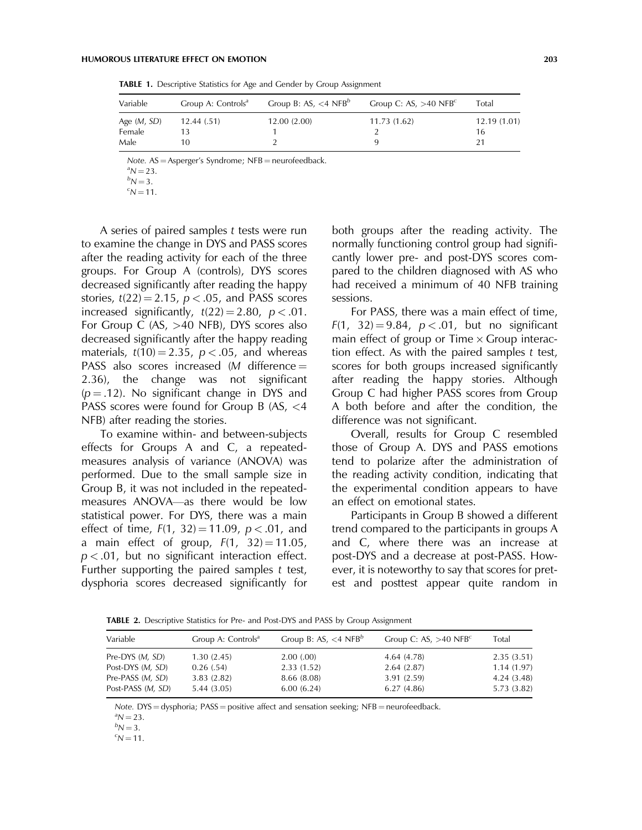TABLE 1. Descriptive Statistics for Age and Gender by Group Assignment

| Variable                        | Group A: Controls <sup>a</sup> | Group B: AS, $<$ 4 NFB <sup>b</sup> | Group C: AS, $>40$ NFB <sup>c</sup> | Total              |
|---------------------------------|--------------------------------|-------------------------------------|-------------------------------------|--------------------|
| Age $(M, SD)$<br>Female<br>Male | 12.44(.51)<br>10               | 12.00(2.00)                         | 11.73(1.62)                         | 12.19 (1.01)<br>16 |

Note. AS = Asperger's Syndrome; NFB = neurofeedback.  $aN = 23$ .

 ${}^{a}N = 23.$ <br> ${}^{b}N = 3$ 

 $N = 3.$ <br><sup>C</sup>N = 11

 $N = 11$ .

A series of paired samples t tests were run to examine the change in DYS and PASS scores after the reading activity for each of the three groups. For Group A (controls), DYS scores decreased significantly after reading the happy stories,  $t(22) = 2.15$ ,  $p < .05$ , and PASS scores increased significantly,  $t(22) = 2.80$ ,  $p < .01$ . For Group C (AS, >40 NFB), DYS scores also decreased significantly after the happy reading materials,  $t(10) = 2.35$ ,  $p < .05$ , and whereas PASS also scores increased (*M* difference  $=$ 2.36), the change was not significant  $(p = .12)$ . No significant change in DYS and PASS scores were found for Group B (AS, <4 NFB) after reading the stories.

To examine within- and between-subjects effects for Groups A and C, a repeatedmeasures analysis of variance (ANOVA) was performed. Due to the small sample size in Group B, it was not included in the repeatedmeasures ANOVA—as there would be low statistical power. For DYS, there was a main effect of time,  $F(1, 32) = 11.09$ ,  $p < .01$ , and a main effect of group,  $F(1, 32) = 11.05$ ,  $p < .01$ , but no significant interaction effect. Further supporting the paired samples  $t$  test, dysphoria scores decreased significantly for both groups after the reading activity. The normally functioning control group had significantly lower pre- and post-DYS scores compared to the children diagnosed with AS who had received a minimum of 40 NFB training sessions.

For PASS, there was a main effect of time,  $F(1, 32) = 9.84$ ,  $p < .01$ , but no significant main effect of group or Time  $\times$  Group interaction effect. As with the paired samples t test, scores for both groups increased significantly after reading the happy stories. Although Group C had higher PASS scores from Group A both before and after the condition, the difference was not significant.

Overall, results for Group C resembled those of Group A. DYS and PASS emotions tend to polarize after the administration of the reading activity condition, indicating that the experimental condition appears to have an effect on emotional states.

Participants in Group B showed a different trend compared to the participants in groups A and C, where there was an increase at post-DYS and a decrease at post-PASS. However, it is noteworthy to say that scores for pretest and posttest appear quite random in

TABLE 2. Descriptive Statistics for Pre- and Post-DYS and PASS by Group Assignment

| Variable                                                                     | Group A: Controls <sup>a</sup>                      | Group B: AS, $<$ 4 NFB <sup>b</sup>                 | Group C: AS, $>40$ NFB <sup>c</sup>                   | Total                                                 |
|------------------------------------------------------------------------------|-----------------------------------------------------|-----------------------------------------------------|-------------------------------------------------------|-------------------------------------------------------|
| Pre-DYS (M, SD)<br>Post-DYS (M, SD)<br>Pre-PASS (M, SD)<br>Post-PASS (M, SD) | 1.30(2.45)<br>0.26(.54)<br>3.83(2.82)<br>5.44(3.05) | 2.00(.00)<br>2.33(1.52)<br>8.66(8.08)<br>6.00(6.24) | 4.64 (4.78)<br>2.64(2.87)<br>3.91(2.59)<br>6.27(4.86) | 2.35(3.51)<br>1.14(1.97)<br>4.24(3.48)<br>5.73 (3.82) |
|                                                                              |                                                     |                                                     |                                                       |                                                       |
|                                                                              |                                                     |                                                     |                                                       |                                                       |

Note. DYS = dysphoria; PASS = positive affect and sensation seeking; NFB = neurofeedback.  $aN = 23$ .

 $\mathrm{^c}N = 11$ .

 ${}^{a}N = 23.$ <br> ${}^{b}N = 3$ 

 $N = 3.$ <br><sup>C</sup>N = 11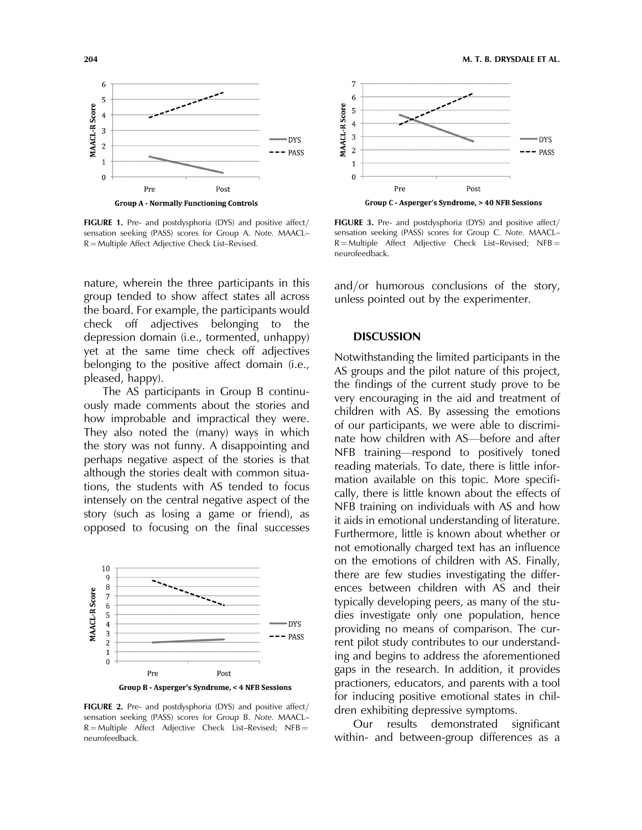

FIGURE 1. Pre- and postdysphoria (DYS) and positive affect/ sensation seeking (PASS) scores for Group A. Note. MAACL–  $R =$  Multiple Affect Adjective Check List–Revised.

nature, wherein the three participants in this group tended to show affect states all across the board. For example, the participants would check off adjectives belonging to the depression domain (i.e., tormented, unhappy) yet at the same time check off adjectives belonging to the positive affect domain (i.e., pleased, happy).

The AS participants in Group B continuously made comments about the stories and how improbable and impractical they were. They also noted the (many) ways in which the story was not funny. A disappointing and perhaps negative aspect of the stories is that although the stories dealt with common situations, the students with AS tended to focus intensely on the central negative aspect of the story (such as losing a game or friend), as opposed to focusing on the final successes



FIGURE 2. Pre- and postdysphoria (DYS) and positive affect/ sensation seeking (PASS) scores for Group B. Note. MAACL–  $R =$  Multiple Affect Adjective Check List–Revised; NFB = neurofeedback.



Group C - Asperger's Syndrome, > 40 NFB Sessions

FIGURE 3. Pre- and postdysphoria (DYS) and positive affect/ sensation seeking (PASS) scores for Group C. Note. MAACL–  $R =$  Multiple Affect Adjective Check List–Revised; NFB = neurofeedback.

and/or humorous conclusions of the story, unless pointed out by the experimenter.

## **DISCUSSION**

Notwithstanding the limited participants in the AS groups and the pilot nature of this project, the findings of the current study prove to be very encouraging in the aid and treatment of children with AS. By assessing the emotions of our participants, we were able to discriminate how children with AS—before and after NFB training—respond to positively toned reading materials. To date, there is little information available on this topic. More specifically, there is little known about the effects of NFB training on individuals with AS and how it aids in emotional understanding of literature. Furthermore, little is known about whether or not emotionally charged text has an influence on the emotions of children with AS. Finally, there are few studies investigating the differences between children with AS and their typically developing peers, as many of the studies investigate only one population, hence providing no means of comparison. The current pilot study contributes to our understanding and begins to address the aforementioned gaps in the research. In addition, it provides practioners, educators, and parents with a tool for inducing positive emotional states in children exhibiting depressive symptoms.

Our results demonstrated significant within- and between-group differences as a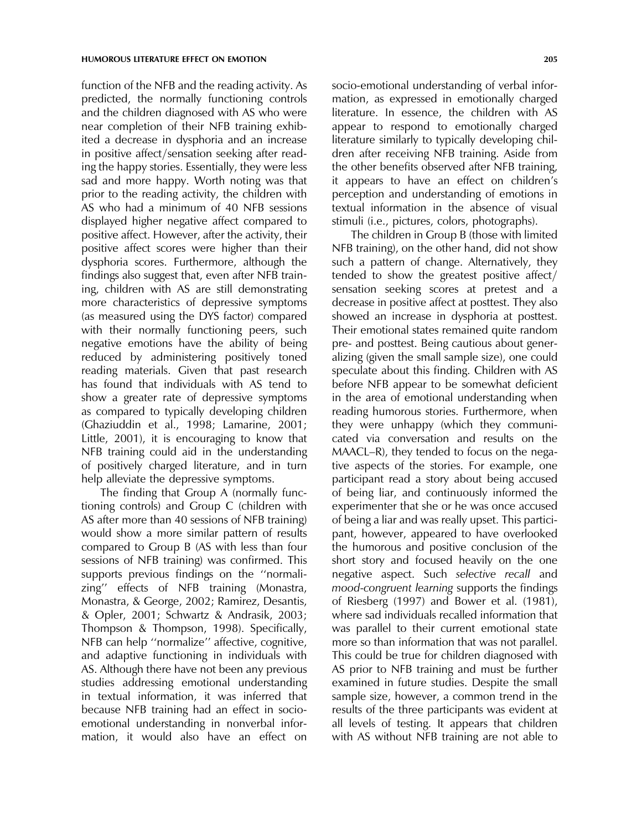#### HUMOROUS LITERATURE EFFECT ON EMOTION 205

function of the NFB and the reading activity. As predicted, the normally functioning controls and the children diagnosed with AS who were near completion of their NFB training exhibited a decrease in dysphoria and an increase in positive affect/sensation seeking after reading the happy stories. Essentially, they were less sad and more happy. Worth noting was that prior to the reading activity, the children with AS who had a minimum of 40 NFB sessions displayed higher negative affect compared to positive affect. However, after the activity, their positive affect scores were higher than their dysphoria scores. Furthermore, although the findings also suggest that, even after NFB training, children with AS are still demonstrating more characteristics of depressive symptoms (as measured using the DYS factor) compared with their normally functioning peers, such negative emotions have the ability of being reduced by administering positively toned reading materials. Given that past research has found that individuals with AS tend to show a greater rate of depressive symptoms as compared to typically developing children (Ghaziuddin et al., 1998; Lamarine, 2001; Little, 2001), it is encouraging to know that NFB training could aid in the understanding of positively charged literature, and in turn help alleviate the depressive symptoms.

The finding that Group A (normally functioning controls) and Group C (children with AS after more than 40 sessions of NFB training) would show a more similar pattern of results compared to Group B (AS with less than four sessions of NFB training) was confirmed. This supports previous findings on the ''normalizing'' effects of NFB training (Monastra, Monastra, & George, 2002; Ramirez, Desantis, & Opler, 2001; Schwartz & Andrasik, 2003; Thompson & Thompson, 1998). Specifically, NFB can help ''normalize'' affective, cognitive, and adaptive functioning in individuals with AS. Although there have not been any previous studies addressing emotional understanding in textual information, it was inferred that because NFB training had an effect in socioemotional understanding in nonverbal information, it would also have an effect on socio-emotional understanding of verbal information, as expressed in emotionally charged literature. In essence, the children with AS appear to respond to emotionally charged literature similarly to typically developing children after receiving NFB training. Aside from the other benefits observed after NFB training, it appears to have an effect on children's perception and understanding of emotions in textual information in the absence of visual stimuli (i.e., pictures, colors, photographs).

The children in Group B (those with limited NFB training), on the other hand, did not show such a pattern of change. Alternatively, they tended to show the greatest positive affect/ sensation seeking scores at pretest and a decrease in positive affect at posttest. They also showed an increase in dysphoria at posttest. Their emotional states remained quite random pre- and posttest. Being cautious about generalizing (given the small sample size), one could speculate about this finding. Children with AS before NFB appear to be somewhat deficient in the area of emotional understanding when reading humorous stories. Furthermore, when they were unhappy (which they communicated via conversation and results on the MAACL–R), they tended to focus on the negative aspects of the stories. For example, one participant read a story about being accused of being liar, and continuously informed the experimenter that she or he was once accused of being a liar and was really upset. This participant, however, appeared to have overlooked the humorous and positive conclusion of the short story and focused heavily on the one negative aspect. Such selective recall and mood-congruent learning supports the findings of Riesberg (1997) and Bower et al. (1981), where sad individuals recalled information that was parallel to their current emotional state more so than information that was not parallel. This could be true for children diagnosed with AS prior to NFB training and must be further examined in future studies. Despite the small sample size, however, a common trend in the results of the three participants was evident at all levels of testing. It appears that children with AS without NFB training are not able to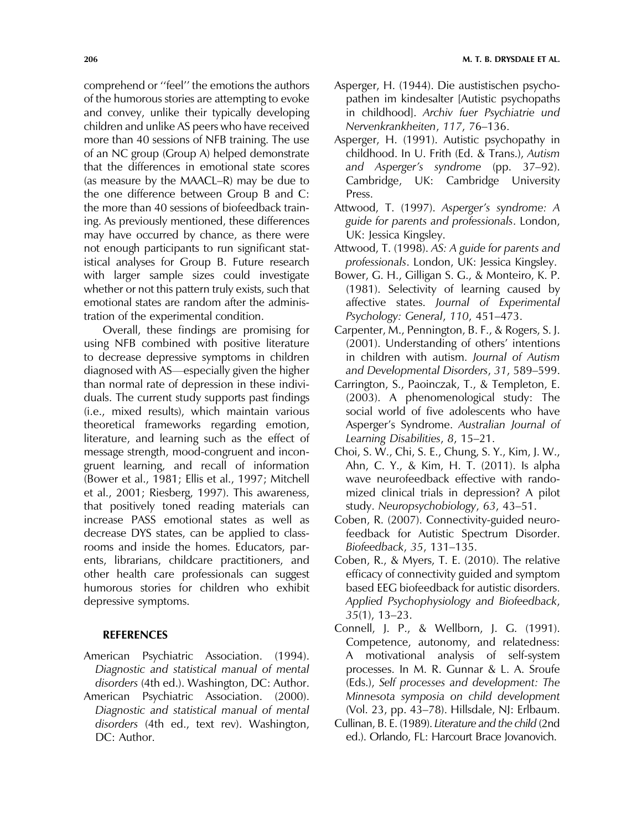comprehend or ''feel'' the emotions the authors of the humorous stories are attempting to evoke and convey, unlike their typically developing children and unlike AS peers who have received more than 40 sessions of NFB training. The use of an NC group (Group A) helped demonstrate that the differences in emotional state scores (as measure by the MAACL–R) may be due to the one difference between Group B and C: the more than 40 sessions of biofeedback training. As previously mentioned, these differences may have occurred by chance, as there were not enough participants to run significant statistical analyses for Group B. Future research with larger sample sizes could investigate whether or not this pattern truly exists, such that emotional states are random after the administration of the experimental condition.

Overall, these findings are promising for using NFB combined with positive literature to decrease depressive symptoms in children diagnosed with AS—especially given the higher than normal rate of depression in these individuals. The current study supports past findings (i.e., mixed results), which maintain various theoretical frameworks regarding emotion, literature, and learning such as the effect of message strength, mood-congruent and incongruent learning, and recall of information (Bower et al., 1981; Ellis et al., 1997; Mitchell et al., 2001; Riesberg, 1997). This awareness, that positively toned reading materials can increase PASS emotional states as well as decrease DYS states, can be applied to classrooms and inside the homes. Educators, parents, librarians, childcare practitioners, and other health care professionals can suggest humorous stories for children who exhibit depressive symptoms.

# **REFERENCES**

- American Psychiatric Association. (1994). Diagnostic and statistical manual of mental disorders (4th ed.). Washington, DC: Author. American Psychiatric Association. (2000).
- Diagnostic and statistical manual of mental disorders (4th ed., text rev). Washington, DC: Author.
- Asperger, H. (1944). Die austistischen psychopathen im kindesalter [Autistic psychopaths in childhood]. Archiv fuer Psychiatrie und Nervenkrankheiten, 117, 76–136.
- Asperger, H. (1991). Autistic psychopathy in childhood. In U. Frith (Ed. & Trans.), Autism and Asperger's syndrome (pp. 37–92). Cambridge, UK: Cambridge University Press.
- Attwood, T. (1997). Asperger's syndrome: A guide for parents and professionals. London, UK: Jessica Kingsley.
- Attwood, T. (1998). AS: A guide for parents and professionals. London, UK: Jessica Kingsley.
- Bower, G. H., Gilligan S. G., & Monteiro, K. P. (1981). Selectivity of learning caused by affective states. Journal of Experimental Psychology: General, 110, 451–473.
- Carpenter, M., Pennington, B. F., & Rogers, S. J. (2001). Understanding of others' intentions in children with autism. Journal of Autism and Developmental Disorders, 31, 589–599.
- Carrington, S., Paoinczak, T., & Templeton, E. (2003). A phenomenological study: The social world of five adolescents who have Asperger's Syndrome. Australian Journal of Learning Disabilities, 8, 15–21.
- Choi, S. W., Chi, S. E., Chung, S. Y., Kim, J. W., Ahn, C. Y., & Kim, H. T. (2011). Is alpha wave neurofeedback effective with randomized clinical trials in depression? A pilot study. Neuropsychobiology, 63, 43–51.
- Coben, R. (2007). Connectivity-guided neurofeedback for Autistic Spectrum Disorder. Biofeedback, 35, 131–135.
- Coben, R., & Myers, T. E. (2010). The relative efficacy of connectivity guided and symptom based EEG biofeedback for autistic disorders. Applied Psychophysiology and Biofeedback, 35(1), 13–23.
- Connell, J. P., & Wellborn, J. G. (1991). Competence, autonomy, and relatedness: A motivational analysis of self-system processes. In M. R. Gunnar & L. A. Sroufe (Eds.), Self processes and development: The Minnesota symposia on child development (Vol. 23, pp. 43–78). Hillsdale, NJ: Erlbaum.
- Cullinan, B. E. (1989). Literature and the child (2nd ed.). Orlando, FL: Harcourt Brace Jovanovich.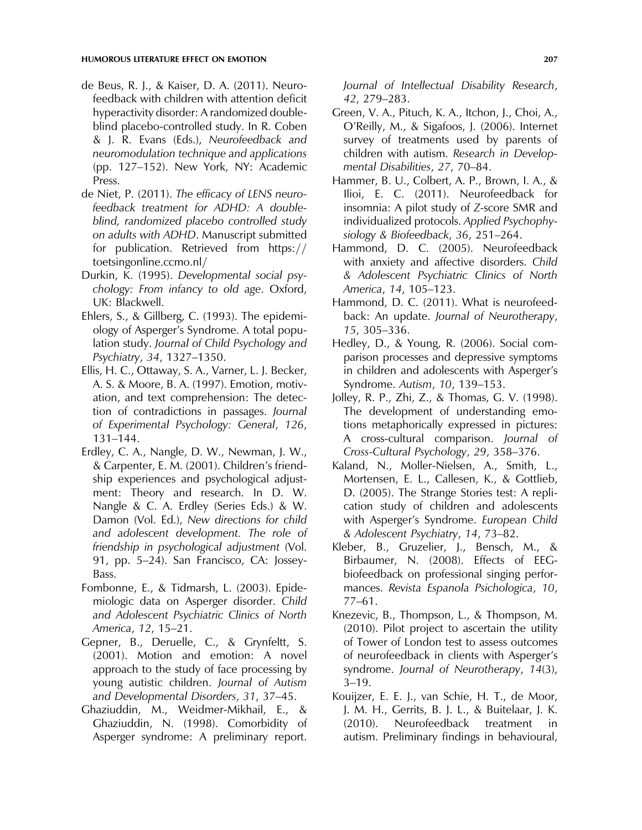#### HUMOROUS LITERATURE EFFECT ON EMOTION 207

- de Beus, R. J., & Kaiser, D. A. (2011). Neurofeedback with children with attention deficit hyperactivity disorder: A randomized doubleblind placebo-controlled study. In R. Coben & J. R. Evans (Eds.), Neurofeedback and neuromodulation technique and applications (pp. 127–152). New York, NY: Academic Press.
- de Niet, P. (2011). The efficacy of LENS neurofeedback treatment for ADHD: A doubleblind, randomized placebo controlled study on adults with ADHD. Manuscript submitted for publication. Retrieved from  $https://$ toetsingonline.ccmo.nl/
- Durkin, K. (1995). Developmental social psychology: From infancy to old age. Oxford, UK: Blackwell.
- Ehlers, S., & Gillberg, C. (1993). The epidemiology of Asperger's Syndrome. A total population study. Journal of Child Psychology and Psychiatry, 34, 1327–1350.
- Ellis, H. C., Ottaway, S. A., Varner, L. J. Becker, A. S. & Moore, B. A. (1997). Emotion, motivation, and text comprehension: The detection of contradictions in passages. Journal of Experimental Psychology: General, 126, 131–144.
- Erdley, C. A., Nangle, D. W., Newman, J. W., & Carpenter, E. M. (2001). Children's friendship experiences and psychological adjustment: Theory and research. In D. W. Nangle & C. A. Erdley (Series Eds.) & W. Damon (Vol. Ed.), New directions for child and adolescent development. The role of friendship in psychological adjustment (Vol. 91, pp. 5–24). San Francisco, CA: Jossey-Bass.
- Fombonne, E., & Tidmarsh, L. (2003). Epidemiologic data on Asperger disorder. Child and Adolescent Psychiatric Clinics of North America, 12, 15–21.
- Gepner, B., Deruelle, C., & Grynfeltt, S. (2001). Motion and emotion: A novel approach to the study of face processing by young autistic children. Journal of Autism and Developmental Disorders, 31, 37–45.
- Ghaziuddin, M., Weidmer-Mikhail, E., & Ghaziuddin, N. (1998). Comorbidity of Asperger syndrome: A preliminary report.

Journal of Intellectual Disability Research, 42, 279–283.

- Green, V. A., Pituch, K. A., Itchon, J., Choi, A., O'Reilly, M., & Sigafoos, J. (2006). Internet survey of treatments used by parents of children with autism. Research in Developmental Disabilities, 27, 70–84.
- Hammer, B. U., Colbert, A. P., Brown, I. A., & Ilioi, E. C. (2011). Neurofeedback for insomnia: A pilot study of Z-score SMR and individualized protocols. Applied Psychophysiology & Biofeedback, 36, 251–264.
- Hammond, D. C. (2005). Neurofeedback with anxiety and affective disorders. Child & Adolescent Psychiatric Clinics of North America, 14, 105–123.
- Hammond, D. C. (2011). What is neurofeedback: An update. Journal of Neurotherapy, 15, 305–336.
- Hedley, D., & Young, R. (2006). Social comparison processes and depressive symptoms in children and adolescents with Asperger's Syndrome. Autism, 10, 139–153.
- Jolley, R. P., Zhi, Z., & Thomas, G. V. (1998). The development of understanding emotions metaphorically expressed in pictures: A cross-cultural comparison. Journal of Cross-Cultural Psychology, 29, 358–376.
- Kaland, N., Moller-Nielsen, A., Smith, L., Mortensen, E. L., Callesen, K., & Gottlieb, D. (2005). The Strange Stories test: A replication study of children and adolescents with Asperger's Syndrome. European Child & Adolescent Psychiatry, 14, 73–82.
- Kleber, B., Gruzelier, J., Bensch, M., & Birbaumer, N. (2008). Effects of EEGbiofeedback on professional singing performances. Revista Espanola Psichologica, 10, 77–61.
- Knezevic, B., Thompson, L., & Thompson, M. (2010). Pilot project to ascertain the utility of Tower of London test to assess outcomes of neurofeedback in clients with Asperger's syndrome. Journal of Neurotherapy, 14(3), 3–19.
- Kouijzer, E. E. J., van Schie, H. T., de Moor, J. M. H., Gerrits, B. J. L., & Buitelaar, J. K. (2010). Neurofeedback treatment in autism. Preliminary findings in behavioural,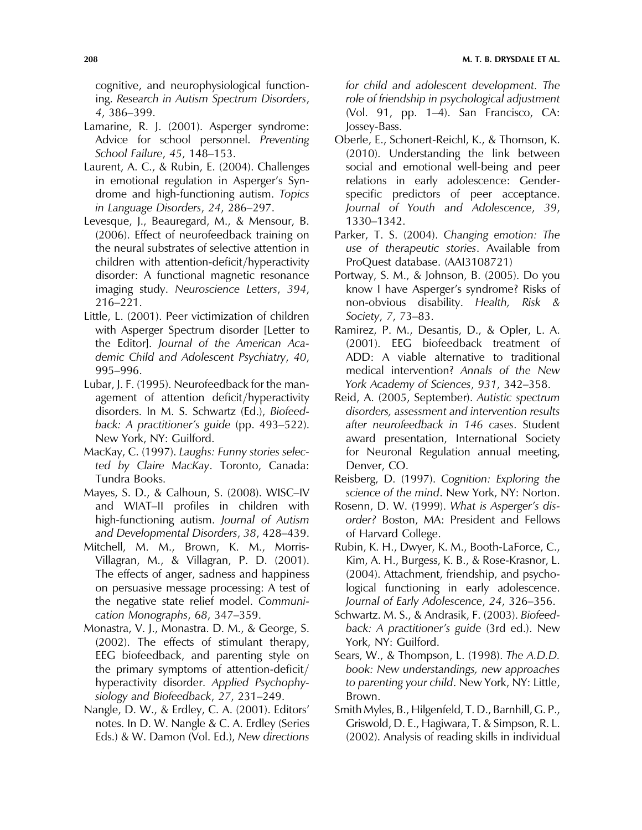cognitive, and neurophysiological functioning. Research in Autism Spectrum Disorders, 4, 386–399.

- Lamarine, R. J. (2001). Asperger syndrome: Advice for school personnel. Preventing School Failure, 45, 148–153.
- Laurent, A. C., & Rubin, E. (2004). Challenges in emotional regulation in Asperger's Syndrome and high-functioning autism. Topics in Language Disorders, 24, 286–297.
- Levesque, J., Beauregard, M., & Mensour, B. (2006). Effect of neurofeedback training on the neural substrates of selective attention in children with attention-deficit/hyperactivity disorder: A functional magnetic resonance imaging study. Neuroscience Letters, 394, 216–221.
- Little, L. (2001). Peer victimization of children with Asperger Spectrum disorder [Letter to the Editor]. Journal of the American Academic Child and Adolescent Psychiatry, 40, 995–996.
- Lubar, J. F. (1995). Neurofeedback for the management of attention deficit/hyperactivity disorders. In M. S. Schwartz (Ed.), Biofeedback: A practitioner's guide (pp. 493–522). New York, NY: Guilford.
- MacKay, C. (1997). Laughs: Funny stories selected by Claire MacKay. Toronto, Canada: Tundra Books.
- Mayes, S. D., & Calhoun, S. (2008). WISC–IV and WIAT–II profiles in children with high-functioning autism. Journal of Autism and Developmental Disorders, 38, 428–439.
- Mitchell, M. M., Brown, K. M., Morris-Villagran, M., & Villagran, P. D. (2001). The effects of anger, sadness and happiness on persuasive message processing: A test of the negative state relief model. Communication Monographs, 68, 347–359.
- Monastra, V. J., Monastra. D. M., & George, S. (2002). The effects of stimulant therapy, EEG biofeedback, and parenting style on the primary symptoms of attention-deficit/ hyperactivity disorder. Applied Psychophysiology and Biofeedback, 27, 231–249.
- Nangle, D. W., & Erdley, C. A. (2001). Editors' notes. In D. W. Nangle & C. A. Erdley (Series Eds.) & W. Damon (Vol. Ed.), New directions

for child and adolescent development. The role of friendship in psychological adjustment (Vol. 91, pp. 1–4). San Francisco, CA: Jossey-Bass.

- Oberle, E., Schonert-Reichl, K., & Thomson, K. (2010). Understanding the link between social and emotional well-being and peer relations in early adolescence: Genderspecific predictors of peer acceptance. Journal of Youth and Adolescence, 39, 1330–1342.
- Parker, T. S. (2004). Changing emotion: The use of therapeutic stories. Available from ProQuest database. (AAI3108721)
- Portway, S. M., & Johnson, B. (2005). Do you know I have Asperger's syndrome? Risks of non-obvious disability. Health, Risk & Society, 7, 73–83.
- Ramirez, P. M., Desantis, D., & Opler, L. A. (2001). EEG biofeedback treatment of ADD: A viable alternative to traditional medical intervention? Annals of the New York Academy of Sciences, 931, 342–358.
- Reid, A. (2005, September). Autistic spectrum disorders, assessment and intervention results after neurofeedback in 146 cases. Student award presentation, International Society for Neuronal Regulation annual meeting, Denver, CO.
- Reisberg, D. (1997). Cognition: Exploring the science of the mind. New York, NY: Norton.
- Rosenn, D. W. (1999). What is Asperger's disorder? Boston, MA: President and Fellows of Harvard College.
- Rubin, K. H., Dwyer, K. M., Booth-LaForce, C., Kim, A. H., Burgess, K. B., & Rose-Krasnor, L. (2004). Attachment, friendship, and psychological functioning in early adolescence. Journal of Early Adolescence, 24, 326–356.
- Schwartz. M. S., & Andrasik, F. (2003). Biofeedback: A practitioner's guide (3rd ed.). New York, NY: Guilford.
- Sears, W., & Thompson, L. (1998). The A.D.D. book: New understandings, new approaches to parenting your child. New York, NY: Little, Brown.
- Smith Myles, B., Hilgenfeld, T. D., Barnhill, G. P., Griswold, D. E., Hagiwara, T. & Simpson, R. L. (2002). Analysis of reading skills in individual